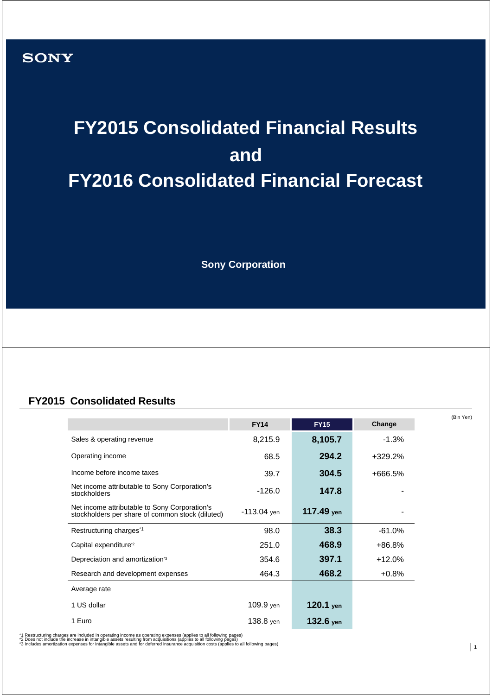# **SONY**

# **FY2015 Consolidated Financial Results and FY2016 Consolidated Financial Forecast**

**Sony Corporation**

#### **FY2015 Consolidated Results**

|                                                                                                   | <b>FY14</b>   | <b>FY15</b> | Change   |
|---------------------------------------------------------------------------------------------------|---------------|-------------|----------|
| Sales & operating revenue                                                                         | 8,215.9       | 8,105.7     | $-1.3%$  |
| Operating income                                                                                  | 68.5          | 294.2       | +329.2%  |
| Income before income taxes                                                                        | 39.7          | 304.5       | +666.5%  |
| Net income attributable to Sony Corporation's<br>stockholders                                     | -126.0        | 147.8       |          |
| Net income attributable to Sony Corporation's<br>stockholders per share of common stock (diluted) | $-113.04$ yen | 117.49 yen  |          |
| Restructuring charges <sup>*1</sup>                                                               | 98.0          | 38.3        | $-61.0%$ |
| Capital expenditure <sup>12</sup>                                                                 | 251.0         | 468.9       | +86.8%   |
| Depreciation and amortization <sup>3</sup>                                                        | 354.6         | 397.1       | +12.0%   |
| Research and development expenses                                                                 | 464.3         | 468.2       | $+0.8%$  |
| Average rate                                                                                      |               |             |          |
| 1 US dollar                                                                                       | 109.9 yen     | 120.1 yen   |          |
| 1 Euro                                                                                            | 138.8 yen     | $132.6$ yen |          |

\*1 Restructuring charges are included in operating income as operating expenses (applies to all following pages)<br>\*2 Does not include the increase in intangible assets resulting from acquisitions (applies to all following p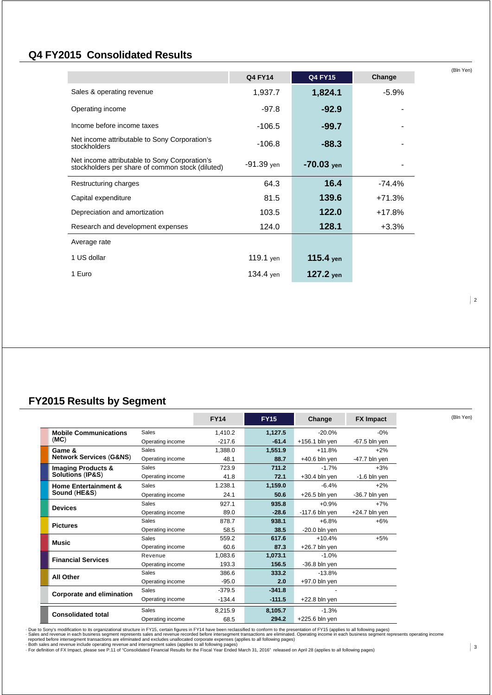### **Q4 FY2015 Consolidated Results**

|                                                                                                   | <b>Q4 FY14</b> | <b>Q4 FY15</b> | Change   |
|---------------------------------------------------------------------------------------------------|----------------|----------------|----------|
| Sales & operating revenue                                                                         | 1,937.7        | 1,824.1        | $-5.9%$  |
| Operating income                                                                                  | -97.8          | $-92.9$        |          |
| Income before income taxes                                                                        | $-106.5$       | $-99.7$        |          |
| Net income attributable to Sony Corporation's<br>stockholders                                     | -106.8         | $-88.3$        |          |
| Net income attributable to Sony Corporation's<br>stockholders per share of common stock (diluted) | $-91.39$ yen   | $-70.03$ yen   |          |
| Restructuring charges                                                                             | 64.3           | 16.4           | -74.4%   |
| Capital expenditure                                                                               | 81.5           | 139.6          | $+71.3%$ |
| Depreciation and amortization                                                                     | 103.5          | 122.0          | $+17.8%$ |
| Research and development expenses                                                                 | 124.0          | 128.1          | $+3.3%$  |
| Average rate                                                                                      |                |                |          |
| 1 US dollar                                                                                       | 119.1 yen      | 115.4 yen      |          |
| 1 Euro                                                                                            | 134.4 yen      | 127.2 yen      |          |

#### **FY2015 Results by Segment**

|                                    |                  | <b>FY14</b> | <b>FY15</b> | Change           | <b>FX Impact</b> |
|------------------------------------|------------------|-------------|-------------|------------------|------------------|
| <b>Mobile Communications</b>       | Sales            | 1.410.2     | 1,127.5     | $-20.0%$         | $-0\%$           |
| (MC)                               | Operating income | $-217.6$    | $-61.4$     | $+156.1$ bln yen | $-67.5$ bln yen  |
| Game &                             | Sales            | 1,388.0     | 1,551.9     | $+11.8%$         | $+2%$            |
| <b>Network Services (G&amp;NS)</b> | Operating income | 48.1        | 88.7        | $+40.6$ bln yen  | $-47.7$ bln yen  |
| <b>Imaging Products &amp;</b>      | Sales            | 723.9       | 711.2       | $-1.7%$          | $+3%$            |
| <b>Solutions (IP&amp;S)</b>        | Operating income | 41.8        | 72.1        | $+30.4$ bln yen  | $-1.6$ bln yen   |
| <b>Home Entertainment &amp;</b>    | Sales            | 1.238.1     | 1,159.0     | $-6.4%$          | $+2%$            |
| Sound (HE&S)                       | Operating income | 24.1        | 50.6        | $+26.5$ bln yen  | $-36.7$ bln yen  |
|                                    | Sales            | 927.1       | 935.8       | $+0.9%$          | $+7%$            |
| <b>Devices</b>                     | Operating income | 89.0        | $-28.6$     | -117.6 bln yen   | $+24.7$ bln yen  |
|                                    | Sales            | 878.7       | 938.1       | $+6.8%$          | $+6%$            |
| <b>Pictures</b>                    | Operating income | 58.5        | 38.5        | $-20.0$ bln yen  |                  |
| <b>Music</b>                       | <b>Sales</b>     | 559.2       | 617.6       | $+10.4%$         | $+5%$            |
|                                    | Operating income | 60.6        | 87.3        | $+26.7$ bln yen  |                  |
| <b>Financial Services</b>          | Revenue          | 1,083.6     | 1,073.1     | $-1.0%$          |                  |
|                                    | Operating income | 193.3       | 156.5       | $-36.8$ bln yen  |                  |
| <b>All Other</b>                   | Sales            | 386.6       | 333.2       | $-13.8%$         |                  |
|                                    | Operating income | $-95.0$     | 2.0         | +97.0 bln yen    |                  |
| <b>Corporate and elimination</b>   | Sales            | $-379.5$    | $-341.8$    |                  |                  |
|                                    | Operating income | $-134.4$    | $-111.5$    | $+22.8$ bln yen  |                  |
| <b>Consolidated total</b>          | Sales            | 8,215.9     | 8,105.7     | $-1.3%$          |                  |
|                                    | Operating income | 68.5        | 294.2       | $+225.6$ bln yen |                  |

- Due to Sony's modification to its organizational structure in FY15, certain figures in FY14 have been reclassified to conform to the presents alles and revenue in each business segment represents alles and revenue recor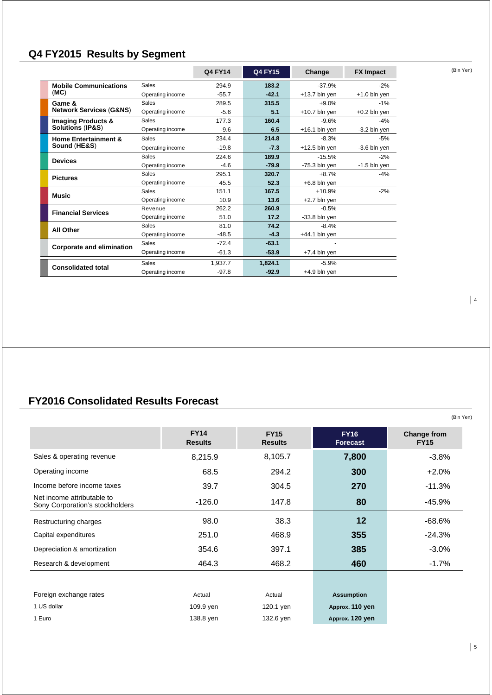# **Q4 FY2015 Results by Segment**

|                                    |                  | <b>Q4 FY14</b> | <b>Q4 FY15</b> | Change          | <b>FX Impact</b> | (Bln Yen) |
|------------------------------------|------------------|----------------|----------------|-----------------|------------------|-----------|
| <b>Mobile Communications</b>       | Sales            | 294.9          | 183.2          | $-37.9%$        | $-2%$            |           |
| (MC)                               | Operating income | $-55.7$        | $-42.1$        | $+13.7$ bln yen | $+1.0$ bln yen   |           |
| Game &                             | Sales            | 289.5          | 315.5          | $+9.0%$         | $-1%$            |           |
| <b>Network Services (G&amp;NS)</b> | Operating income | $-5.6$         | 5.1            | $+10.7$ bln yen | $+0.2$ bln yen   |           |
| <b>Imaging Products &amp;</b>      | Sales            | 177.3          | 160.4          | $-9.6%$         | $-4%$            |           |
| <b>Solutions (IP&amp;S)</b>        | Operating income | $-9.6$         | 6.5            | $+16.1$ bln yen | -3.2 bln yen     |           |
| <b>Home Entertainment &amp;</b>    | <b>Sales</b>     | 234.4          | 214.8          | $-8.3%$         | $-5%$            |           |
| Sound (HE&S)                       | Operating income | $-19.8$        | $-7.3$         | $+12.5$ bln yen | -3.6 bln yen     |           |
|                                    | Sales            | 224.6          | 189.9          | $-15.5%$        | $-2%$            |           |
| <b>Devices</b>                     | Operating income | $-4.6$         | $-79.9$        | $-75.3$ bln yen | $-1.5$ bln yen   |           |
| <b>Pictures</b>                    | Sales            | 295.1          | 320.7          | $+8.7%$         | $-4%$            |           |
|                                    | Operating income | 45.5           | 52.3           | $+6.8$ bln yen  |                  |           |
| <b>Music</b>                       | <b>Sales</b>     | 151.1          | 167.5          | $+10.9%$        | $-2%$            |           |
|                                    | Operating income | 10.9           | 13.6           | +2.7 bln yen    |                  |           |
| <b>Financial Services</b>          | Revenue          | 262.2          | 260.9          | $-0.5%$         |                  |           |
|                                    | Operating income | 51.0           | 17.2           | $-33.8$ bln yen |                  |           |
| <b>All Other</b>                   | Sales            | 81.0           | 74.2           | $-8.4%$         |                  |           |
|                                    | Operating income | $-48.5$        | $-4.3$         | $+44.1$ bln yen |                  |           |
| <b>Corporate and elimination</b>   | Sales            | $-72.4$        | $-63.1$        |                 |                  |           |
|                                    | Operating income | $-61.3$        | $-53.9$        | $+7.4$ bln yen  |                  |           |
|                                    | Sales            | 1.937.7        | 1.824.1        | $-5.9%$         |                  |           |
| <b>Consolidated total</b>          | Operating income | $-97.8$        | $-92.9$        | $+4.9$ bln yen  |                  |           |

# **FY2016 Consolidated Results Forecast**

|                                                               |                               |                               |                                | (Bln Yen)                         |
|---------------------------------------------------------------|-------------------------------|-------------------------------|--------------------------------|-----------------------------------|
|                                                               | <b>FY14</b><br><b>Results</b> | <b>FY15</b><br><b>Results</b> | <b>FY16</b><br><b>Forecast</b> | <b>Change from</b><br><b>FY15</b> |
| Sales & operating revenue                                     | 8,215.9                       | 8,105.7                       | 7,800                          | $-3.8%$                           |
| Operating income                                              | 68.5                          | 294.2                         | 300                            | $+2.0%$                           |
| Income before income taxes                                    | 39.7                          | 304.5                         | 270                            | $-11.3%$                          |
| Net income attributable to<br>Sony Corporation's stockholders | $-126.0$                      | 147.8                         | 80                             | -45.9%                            |
| Restructuring charges                                         | 98.0                          | 38.3                          | 12                             | $-68.6%$                          |
| Capital expenditures                                          | 251.0                         | 468.9                         | 355                            | $-24.3%$                          |
| Depreciation & amortization                                   | 354.6                         | 397.1                         | 385                            | $-3.0\%$                          |
| Research & development                                        | 464.3                         | 468.2                         | 460                            | $-1.7\%$                          |
|                                                               |                               |                               |                                |                                   |
| Foreign exchange rates                                        | Actual                        | Actual                        | <b>Assumption</b>              |                                   |
| 1 US dollar                                                   | 109.9 yen                     | 120.1 yen                     | Approx. 110 yen                |                                   |
| 1 Euro                                                        | 138.8 yen                     | 132.6 yen                     | Approx. 120 yen                |                                   |

4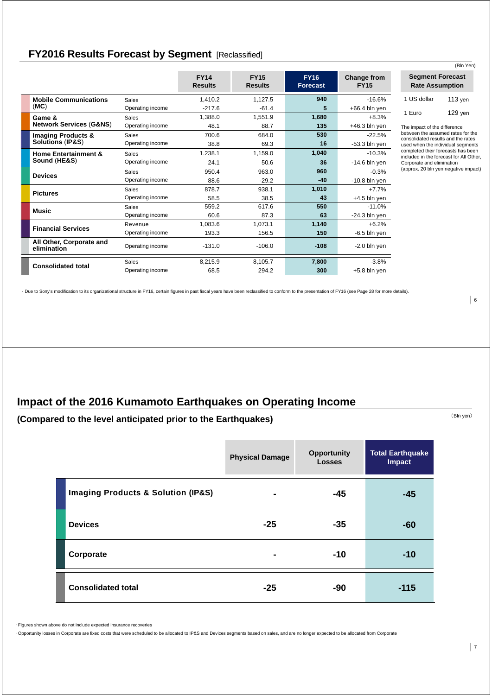## **FY2016 Results Forecast by Segment** [Reclassified]

|                                         |                  |                               |                               |                                |                            |                                                                 | (Bln   |  |
|-----------------------------------------|------------------|-------------------------------|-------------------------------|--------------------------------|----------------------------|-----------------------------------------------------------------|--------|--|
|                                         |                  | <b>FY14</b><br><b>Results</b> | <b>FY15</b><br><b>Results</b> | <b>FY16</b><br><b>Forecast</b> | Change from<br><b>FY15</b> | <b>Segment Forecast</b><br><b>Rate Assumption</b>               |        |  |
| <b>Mobile Communications</b>            | <b>Sales</b>     | 1,410.2                       | 1,127.5                       | 940                            | $-16.6%$                   | 1 US dollar                                                     | 113 ye |  |
| (MC)                                    | Operating income | $-217.6$                      | $-61.4$                       | 5                              | $+66.4$ bln yen            |                                                                 |        |  |
| Game &                                  | <b>Sales</b>     | 1,388.0                       | 1,551.9                       | 1,680                          | $+8.3%$                    | 1 Euro                                                          | 129 ye |  |
| <b>Network Services (G&amp;NS)</b>      | Operating income | 48.1                          | 88.7                          | 135                            | $+46.3$ bln yen            | The impact of the difference                                    |        |  |
| <b>Imaging Products &amp;</b>           | <b>Sales</b>     | 700.6                         | 684.0                         | 530                            | $-22.5%$                   | between the assumed rates f<br>consolidated results and the     |        |  |
| <b>Solutions (IP&amp;S)</b>             | Operating income | 38.8                          | 69.3                          | 16                             | $-53.3$ bln yen            | used when the individual seq                                    |        |  |
| <b>Home Entertainment &amp;</b>         | Sales            | 1.238.1                       | 1,159.0                       | 1,040                          | $-10.3%$                   | completed their forecasts has<br>included in the forecast for A |        |  |
| Sound (HE&S)                            | Operating income | 24.1                          | 50.6                          | 36                             | $-14.6$ bln yen            | Corporate and elimination                                       |        |  |
|                                         | Sales            | 950.4                         | 963.0                         | 960                            | $-0.3%$                    | (approx. 20 bln yen negative                                    |        |  |
| <b>Devices</b>                          | Operating income | 88.6                          | $-29.2$                       | $-40$                          | $-10.8$ bln yen            |                                                                 |        |  |
|                                         | <b>Sales</b>     | 878.7                         | 938.1                         | 1,010                          | $+7.7%$                    |                                                                 |        |  |
| <b>Pictures</b>                         | Operating income | 58.5                          | 38.5                          | 43                             | $+4.5$ bln yen             |                                                                 |        |  |
| <b>Music</b>                            | Sales            | 559.2                         | 617.6                         | 550                            | $-11.0%$                   |                                                                 |        |  |
|                                         | Operating income | 60.6                          | 87.3                          | 63                             | $-24.3$ bln yen            |                                                                 |        |  |
| <b>Financial Services</b>               | Revenue          | 1,083.6                       | 1,073.1                       | 1.140                          | $+6.2%$                    |                                                                 |        |  |
|                                         | Operating income | 193.3                         | 156.5                         | 150                            | $-6.5$ bln yen             |                                                                 |        |  |
| All Other, Corporate and<br>elimination | Operating income | $-131.0$                      | $-106.0$                      | $-108$                         | $-2.0$ bln yen             |                                                                 |        |  |
|                                         | <b>Sales</b>     | 8,215.9                       | 8,105.7                       | 7,800                          | $-3.8%$                    |                                                                 |        |  |
| <b>Consolidated total</b>               | Operating income | 68.5                          | 294.2                         | 300                            | $+5.8$ bln yen             |                                                                 |        |  |
|                                         |                  |                               |                               |                                |                            |                                                                 |        |  |

· Due to Sony's modification to its organizational structure in FY16, certain figures in past fiscal years have been reclassified to conform to the presentation of FY16 (see Page 28 for more details).

# **Impact of the 2016 Kumamoto Earthquakes on Operating Income**

#### **(Compared to the level anticipated prior to the Earthquakes)**

|                                                   | <b>Physical Damage</b> | <b>Opportunity</b><br><b>Losses</b> | <b>Total Earthquake</b><br>Impact |
|---------------------------------------------------|------------------------|-------------------------------------|-----------------------------------|
| <b>Imaging Products &amp; Solution (IP&amp;S)</b> | $\blacksquare$         | -45                                 | $-45$                             |
| <b>Devices</b>                                    | $-25$                  | $-35$                               | $-60$                             |
| Corporate                                         | ٠                      | $-10$                               | $-10$                             |
| <b>Consolidated total</b>                         | $-25$                  | -90                                 | $-115$                            |

・Figures shown above do not include expected insurance recoveries

・Opportunity losses in Corporate are fixed costs that were scheduled to be allocated to IP&S and Devices segments based on sales, and are no longer expected to be allocated from Corporate

(Bln yen)

 $6$ 

ה<br>ז Yen)

/en <sub>yen</sub>

,<br>for the rates used when the individual segments completed their forecasts has been as seen<br>All Other, (approx)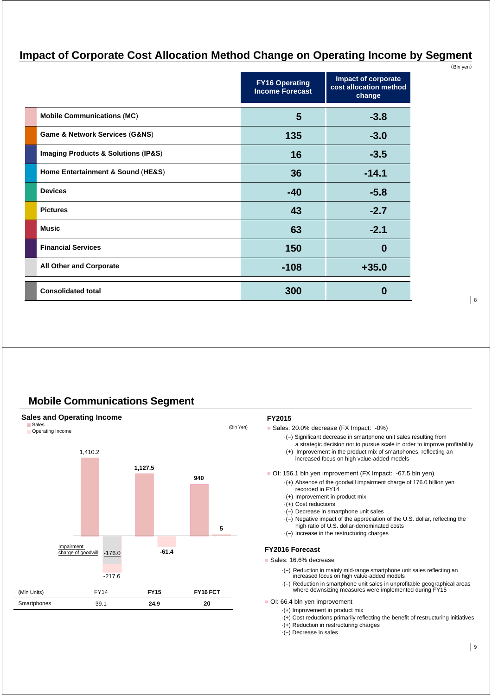### **Impact of Corporate Cost Allocation Method Change on Operating Income by Segment**

|                                                    | <b>FY16 Operating</b><br><b>Income Forecast</b> | Impact of corporate<br>cost allocation method<br>change |
|----------------------------------------------------|-------------------------------------------------|---------------------------------------------------------|
| <b>Mobile Communications (MC)</b>                  | 5                                               | $-3.8$                                                  |
| <b>Game &amp; Network Services (G&amp;NS)</b>      | 135                                             | $-3.0$                                                  |
| <b>Imaging Products &amp; Solutions (IP&amp;S)</b> | 16                                              | $-3.5$                                                  |
| Home Entertainment & Sound (HE&S)                  | 36                                              | $-14.1$                                                 |
| <b>Devices</b>                                     | $-40$                                           | $-5.8$                                                  |
| <b>Pictures</b>                                    | 43                                              | $-2.7$                                                  |
| <b>Music</b>                                       | 63                                              | $-2.1$                                                  |
| <b>Financial Services</b>                          | 150                                             | O                                                       |
| <b>All Other and Corporate</b>                     | $-108$                                          | $+35.0$                                                 |
| <b>Consolidated total</b>                          | 300                                             | 0                                                       |

### **Mobile Communications Segment**



#### **FY2015**

Sales: 20.0% decrease (FX Impact: -0%)

- ·(--) Significant decrease in smartphone unit sales resulting from a strategic decision not to pursue scale in order to improve profitability ·(+) Improvement in the product mix of smartphones, reflecting an
	- increased focus on high value-added models
- OI: 156.1 bln yen improvement (FX Impact: -67.5 bln yen)
	- ·(+) Absence of the goodwill impairment charge of 176.0 billion yen recorded in FY14
	- ·(+) Improvement in product mix
	- ·(+) Cost reductions
	- $\cdot$ (-) Decrease in smartphone unit sales
	- $\cdot$ (-) Negative impact of the appreciation of the U.S. dollar, reflecting the high ratio of U.S. dollar-denominated costs
	- $\cdot$ (-) Increase in the restructuring charges

#### **FY2016 Forecast**

#### Sales: 16.6% decrease

- ·(--) Reduction in mainly mid-range smartphone unit sales reflecting an increased focus on high value-added models
- ·(--) Reduction in smartphone unit sales in unprofitable geographical areas where downsizing measures were implemented during FY15

OI: 66.4 bln yen improvement

- ·(+) Improvement in product mix
- ·(+) Cost reductions primarily reflecting the benefit of restructuring initiatives
- ·(+) Reduction in restructuring charges
- $\cdot$ (-) Decrease in sales

8

(Bln yen)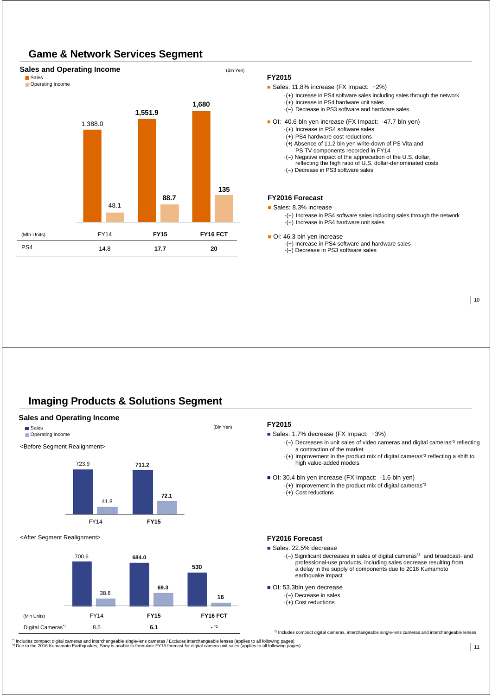### **Game & Network Services Segment**



### **Imaging Products & Solutions Segment**



<sup>11</sup> Includes compact digital cameras and interchangeable single-lens cameras / Excludes interchangeable lenses (applies to all following pages)<br><sup>12</sup> Due to the 2016 Kumamoto Earthquakes, Sony is unable to formulate FY16 f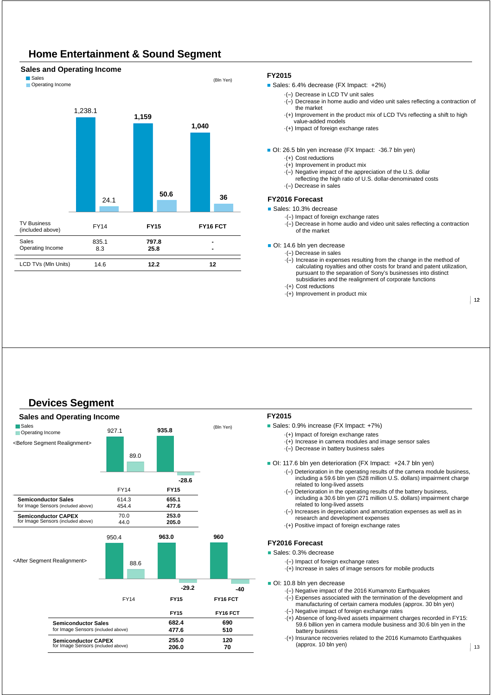### **Home Entertainment & Sound Segment**

#### **Sales and Operating Income** Sales (Bln Yen) Operating Income TV Business (included above) FY14 **FY15 FY16 FCT** Sales Operating Income 835.1 8.3 **797.8 25.8 - -** LCD TVs (Mln Units) **14.6 12.2 12** 1,238.1 **1,159 1,040** 24.1 **50.6 <sup>36</sup>**

#### **FY2015**

Sales: 6.4% decrease (FX Impact: +2%)

- ·(--) Decrease in LCD TV unit sales
	- $\cdot$ (-) Decrease in home audio and video unit sales reflecting a contraction of the market
	- ·(+) Improvement in the product mix of LCD TVs reflecting a shift to high value-added models
	- ·(+) Impact of foreign exchange rates

OI: 26.5 bln yen increase (FX Impact: -36.7 bln yen)

- ·(+) Cost reductions
- ·(+) Improvement in product mix
- $\cdot$ (-) Negative impact of the appreciation of the U.S. dollar
	- reflecting the high ratio of U.S. dollar-denominated costs
- $\cdot$ (-) Decrease in sales

#### **FY2016 Forecast**

- Sales: 10.3% decrease
	- $\cdot$ (-) Impact of foreign exchange rates
	- ·(--) Decrease in home audio and video unit sales reflecting a contraction of the market

#### OI: 14.6 bln yen decrease ·(--) Decrease in sales

- ·(--) Increase in expenses resulting from the change in the method of calculating royalties and other costs for brand and patent utilization, pursuant to the separation of Sony's businesses into distinct subsidiaries and the realignment of corporate functions
- ·(+) Cost reductions
- ·(+) Improvement in product mix

#### **Devices Segment**



#### **FY2015** Sales: 0.9% increase (FX Impact: +7%)

- ·(+) Impact of foreign exchange rates
	-
	- ·(+) Increase in camera modules and image sensor sales ·(-) Decrease in battery business sales
- OI: 117.6 bln yen deterioration (FX Impact: +24.7 bln yen)
	- ·(--) Deterioration in the operating results of the camera module business, including a 59.6 bln yen (528 million U.S. dollars) impairment charge related to long-lived assets
	- $\cdot$ (-) Deterioration in the operating results of the battery business, including a 30.6 bln yen (271 million U.S. dollars) impairment charge related to long-lived assets
	- ·(--) Increases in depreciation and amortization expenses as well as in research and development expenses
	- ·(+) Positive impact of foreign exchange rates

#### **FY2016 Forecast**

- Sales: 0.3% decrease
	- $\cdot$ (-) Impact of foreign exchange rates
		- ·(+) Increase in sales of image sensors for mobile products
- OI: 10.8 bln yen decrease
	- ·(--) Negative impact of the 2016 Kumamoto Earthquakes
	- $\cdot$ (-) Expenses associated with the termination of the development and manufacturing of certain camera modules (approx. 30 bln yen)
	- ·(--) Negative impact of foreign exchange rates
	- ·(+) Absence of long-lived assets impairment charges recorded in FY15: 59.6 billion yen in camera module business and 30.6 bln yen in the battery business
	- ·(+) Insurance recoveries related to the 2016 Kumamoto Earthquakes (approx. 10 bln yen)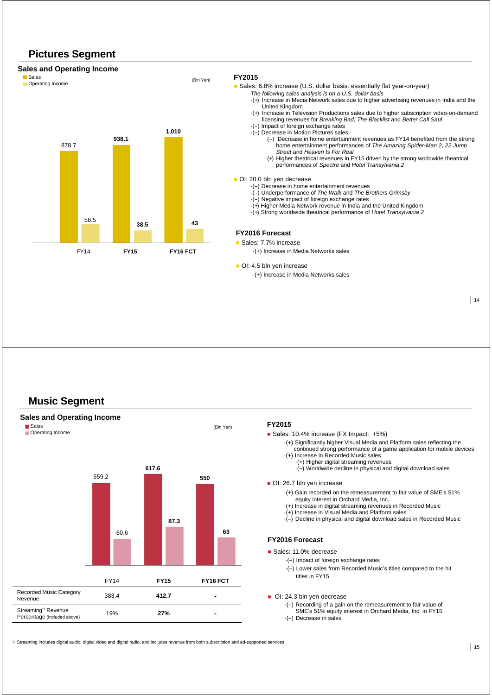### **Pictures Segment**

#### **Sales and Operating Income**



**Music Segment**



\*1 Streaming includes digital audio, digital video and digital radio, and includes revenue from both subscription and ad-supported services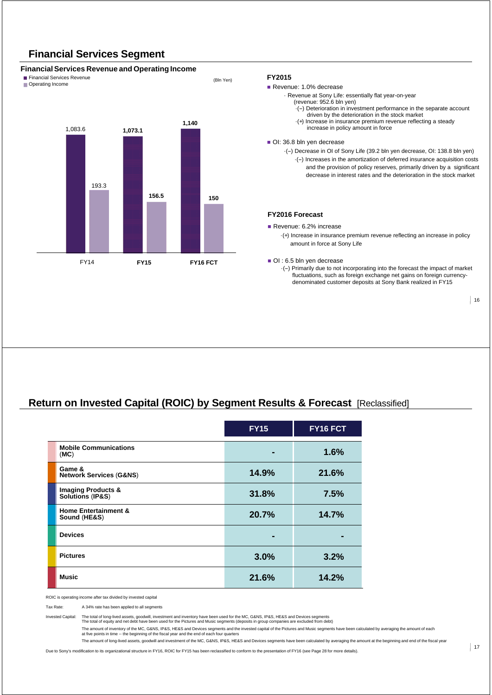### **Financial Services Segment**

#### **Financial Services Revenue and Operating Income**



#### **Return on Invested Capital (ROIC) by Segment Results & Forecast** [Reclassified]

|                                                    | <b>FY15</b> | FY16 FCT |
|----------------------------------------------------|-------------|----------|
| <b>Mobile Communications</b><br>(MC)               |             | 1.6%     |
| Game &<br><b>Network Services (G&amp;NS)</b>       | 14.9%       | 21.6%    |
| <b>Imaging Products &amp; Solutions (IP&amp;S)</b> | 31.8%       | 7.5%     |
| <b>Home Entertainment &amp;</b><br>Sound (HE&S)    | 20.7%       | 14.7%    |
| <b>Devices</b>                                     | -           |          |
| <b>Pictures</b>                                    | 3.0%        | 3.2%     |
| <b>Music</b>                                       | 21.6%       | 14.2%    |

ROIC is operating income after tax divided by invested capital

Tax Rate: A 34% rate has been applied to all segments

Invested Capital: The total of long-lived assets, goodwill, investment and inventory have been used for the MC, G&NS, IP&S, HE&S and Devices segments

The total of equity and net debt have been used for the Pictures and Music segments (deposits in group companies are excluded from debt)

The amount of inventory of the MC, G&NS, IP&S, HE&S and Devices segments and the invested capital of the Pictures and Music segments have been calculated by averaging the amount of each at five points in time -- the beginning of the fiscal year and the end of each four quarters

The amount of long-lived assets, goodwill and investment of the MC, G&NS, IP&S, HE&S and Devices segments have been calculated by averaging the amount at the beginning and end of the fiscal year

Due to Sony's modification to its organizational structure in FY16, ROIC for FY15 has been reclassified to conform to the presentation of FY16 (see Page 28 for more details).

 $|16$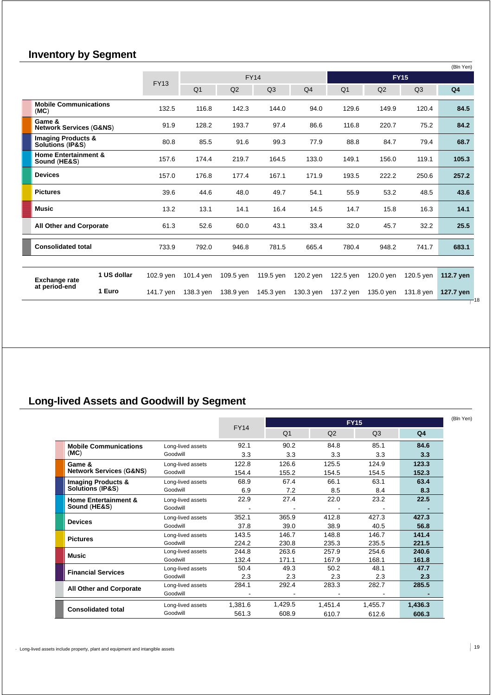# **Inventory by Segment**

|                                                              |             |             |                |           |                |                |                |           |             | (Bln Yen)       |
|--------------------------------------------------------------|-------------|-------------|----------------|-----------|----------------|----------------|----------------|-----------|-------------|-----------------|
|                                                              |             |             |                |           | <b>FY14</b>    |                |                |           | <b>FY15</b> |                 |
|                                                              |             | <b>FY13</b> | Q <sub>1</sub> | Q2        | Q <sub>3</sub> | Q <sub>4</sub> | Q <sub>1</sub> | Q2        | Q3          | Q <sub>4</sub>  |
| <b>Mobile Communications</b><br>(MC)                         |             | 132.5       | 116.8          | 142.3     | 144.0          | 94.0           | 129.6          | 149.9     | 120.4       | 84.5            |
| Game &<br><b>Network Services (G&amp;NS)</b>                 |             | 91.9        | 128.2          | 193.7     | 97.4           | 86.6           | 116.8          | 220.7     | 75.2        | 84.2            |
| <b>Imaging Products &amp;</b><br><b>Solutions (IP&amp;S)</b> |             | 80.8        | 85.5           | 91.6      | 99.3           | 77.9           | 88.8           | 84.7      | 79.4        | 68.7            |
| <b>Home Entertainment &amp;</b><br>Sound (HE&S)              |             | 157.6       | 174.4          | 219.7     | 164.5          | 133.0          | 149.1          | 156.0     | 119.1       | 105.3           |
| <b>Devices</b>                                               |             | 157.0       | 176.8          | 177.4     | 167.1          | 171.9          | 193.5          | 222.2     | 250.6       | 257.2           |
| <b>Pictures</b>                                              |             | 39.6        | 44.6           | 48.0      | 49.7           | 54.1           | 55.9           | 53.2      | 48.5        | 43.6            |
| <b>Music</b>                                                 |             | 13.2        | 13.1           | 14.1      | 16.4           | 14.5           | 14.7           | 15.8      | 16.3        | 14.1            |
| <b>All Other and Corporate</b>                               |             | 61.3        | 52.6           | 60.0      | 43.1           | 33.4           | 32.0           | 45.7      | 32.2        | 25.5            |
| <b>Consolidated total</b>                                    |             | 733.9       | 792.0          | 946.8     | 781.5          | 665.4          | 780.4          | 948.2     | 741.7       | 683.1           |
|                                                              |             |             |                |           |                |                |                |           |             |                 |
| <b>Exchange rate</b>                                         | 1 US dollar | 102.9 yen   | 101.4 yen      | 109.5 yen | 119.5 yen      | 120.2 yen      | 122.5 yen      | 120.0 yen | 120.5 yen   | 112.7 yen       |
| at period-end                                                | 1 Euro      | 141.7 yen   | 138.3 yen      | 138.9 yen | 145.3 yen      | 130.3 yen      | 137.2 yen      | 135.0 yen | 131.8 yen   | 127.7 yen<br>18 |
|                                                              |             |             |                |           |                |                |                |           |             |                 |

# **Long-lived Assets and Goodwill by Segment**

|                                                 |                   |             |                | <b>FY15</b> |                |                |  |  |
|-------------------------------------------------|-------------------|-------------|----------------|-------------|----------------|----------------|--|--|
|                                                 |                   | <b>FY14</b> | Q <sub>1</sub> | Q2          | Q <sub>3</sub> | Q <sub>4</sub> |  |  |
| <b>Mobile Communications</b>                    | Long-lived assets | 92.1        | 90.2           | 84.8        | 85.1           | 84.6           |  |  |
| (MC)                                            | Goodwill          | 3.3         | 3.3            | 3.3         | 3.3            | 3.3            |  |  |
| Game &                                          | Long-lived assets | 122.8       | 126.6          | 125.5       | 124.9          | 123.3          |  |  |
| <b>Network Services (G&amp;NS)</b>              | Goodwill          | 154.4       | 155.2          | 154.5       | 154.5          | 152.3          |  |  |
| <b>Imaging Products &amp;</b>                   | Long-lived assets | 68.9        | 67.4           | 66.1        | 63.1           | 63.4           |  |  |
| <b>Solutions (IP&amp;S)</b>                     | Goodwill          | 6.9         | 7.2            | 8.5         | 8.4            | 8.3            |  |  |
| <b>Home Entertainment &amp;</b><br>Sound (HE&S) | Long-lived assets | 22.9        | 27.4           | 22.0        | 23.2           | 22.5           |  |  |
|                                                 | Goodwill          |             |                |             |                |                |  |  |
| <b>Devices</b>                                  | Long-lived assets | 352.1       | 365.9          | 412.8       | 427.3          | 427.3          |  |  |
|                                                 | Goodwill          | 37.8        | 39.0           | 38.9        | 40.5           | 56.8           |  |  |
|                                                 | Long-lived assets | 143.5       | 146.7          | 148.8       | 146.7          | 141.4          |  |  |
| <b>Pictures</b>                                 | Goodwill          | 224.2       | 230.8          | 235.3       | 235.5          | 221.5          |  |  |
| <b>Music</b>                                    | Long-lived assets | 244.8       | 263.6          | 257.9       | 254.6          | 240.6          |  |  |
|                                                 | Goodwill          | 132.4       | 171.1          | 167.9       | 168.1          | 161.8          |  |  |
| <b>Financial Services</b>                       | Long-lived assets | 50.4        | 49.3           | 50.2        | 48.1           | 47.7           |  |  |
|                                                 | Goodwill          | 2.3         | 2.3            | 2.3         | 2.3            | 2.3            |  |  |
| <b>All Other and Corporate</b>                  | Long-lived assets | 284.1       | 292.4          | 283.3       | 282.7          | 285.5          |  |  |
|                                                 | Goodwill          |             |                |             |                |                |  |  |
|                                                 | Long-lived assets | 1,381.6     | 1,429.5        | 1,451.4     | 1,455.7        | 1,436.3        |  |  |
| <b>Consolidated total</b>                       | Goodwill          | 561.3       | 608.9          | 610.7       | 612.6          | 606.3          |  |  |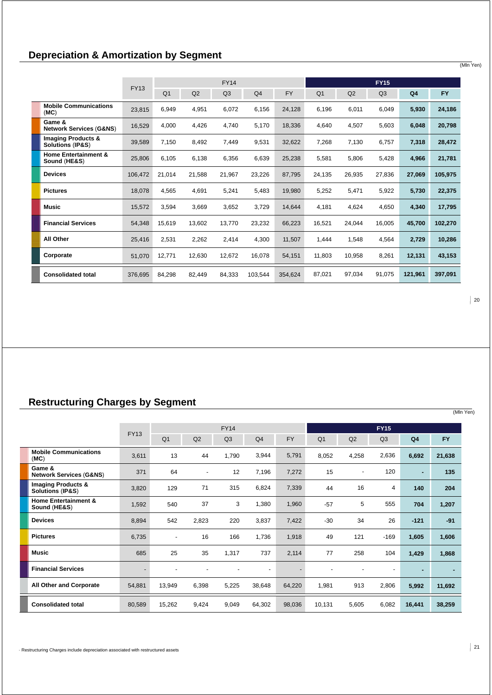# **Depreciation & Amortization by Segment**

|                                                   | <b>FY13</b> |                |        | <b>FY14</b>    |                |           |                |        | <b>FY15</b>    |         |           |
|---------------------------------------------------|-------------|----------------|--------|----------------|----------------|-----------|----------------|--------|----------------|---------|-----------|
|                                                   |             | Q <sub>1</sub> | Q2     | Q <sub>3</sub> | Q <sub>4</sub> | <b>FY</b> | Q <sub>1</sub> | Q2     | Q <sub>3</sub> | Q4      | <b>FY</b> |
| <b>Mobile Communications</b><br>(MC)              | 23,815      | 6,949          | 4,951  | 6,072          | 6.156          | 24,128    | 6,196          | 6,011  | 6,049          | 5,930   | 24,186    |
| Game &<br><b>Network Services (G&amp;NS)</b>      | 16,529      | 4,000          | 4,426  | 4,740          | 5,170          | 18,336    | 4,640          | 4,507  | 5,603          | 6,048   | 20,798    |
| <b>Imaging Products &amp;</b><br>Solutions (IP&S) | 39,589      | 7,150          | 8,492  | 7,449          | 9.531          | 32,622    | 7,268          | 7,130  | 6,757          | 7,318   | 28,472    |
| <b>Home Entertainment &amp;</b><br>Sound (HE&S)   | 25,806      | 6,105          | 6,138  | 6,356          | 6.639          | 25,238    | 5,581          | 5,806  | 5,428          | 4,966   | 21,781    |
| <b>Devices</b>                                    | 106,472     | 21,014         | 21,588 | 21,967         | 23,226         | 87,795    | 24,135         | 26,935 | 27,836         | 27,069  | 105,975   |
| <b>Pictures</b>                                   | 18,078      | 4,565          | 4,691  | 5,241          | 5,483          | 19,980    | 5,252          | 5,471  | 5,922          | 5,730   | 22,375    |
| Music                                             | 15,572      | 3,594          | 3,669  | 3,652          | 3,729          | 14,644    | 4,181          | 4,624  | 4,650          | 4,340   | 17,795    |
| <b>Financial Services</b>                         | 54,348      | 15,619         | 13,602 | 13,770         | 23,232         | 66,223    | 16,521         | 24,044 | 16,005         | 45,700  | 102,270   |
| <b>All Other</b>                                  | 25,416      | 2,531          | 2,262  | 2,414          | 4,300          | 11,507    | 1,444          | 1,548  | 4,564          | 2,729   | 10,286    |
| Corporate                                         | 51,070      | 12,771         | 12,630 | 12,672         | 16,078         | 54,151    | 11,803         | 10,958 | 8,261          | 12,131  | 43,153    |
| <b>Consolidated total</b>                         | 376,695     | 84,298         | 82,449 | 84,333         | 103,544        | 354,624   | 87,021         | 97,034 | 91,075         | 121,961 | 397,091   |

# **Restructuring Charges by Segment**

|                                                   |                |                              |                |             |                |           |                |                          |                |                | (Mln Yen) |  |  |
|---------------------------------------------------|----------------|------------------------------|----------------|-------------|----------------|-----------|----------------|--------------------------|----------------|----------------|-----------|--|--|
|                                                   |                |                              |                | <b>FY14</b> |                |           | <b>FY15</b>    |                          |                |                |           |  |  |
|                                                   | <b>FY13</b>    | Q <sub>1</sub>               | Q2             | Q3          | Q <sub>4</sub> | <b>FY</b> | Q <sub>1</sub> | Q2                       | Q <sub>3</sub> | Q <sub>4</sub> | <b>FY</b> |  |  |
| <b>Mobile Communications</b><br>(MC)              | 3,611          | 13                           | 44             | 1,790       | 3,944          | 5,791     | 8,052          | 4,258                    | 2,636          | 6,692          | 21,638    |  |  |
| Game &<br><b>Network Services (G&amp;NS)</b>      | 371            | 64                           | $\blacksquare$ | 12          | 7,196          | 7,272     | 15             | $\overline{\phantom{a}}$ | 120            | $\sim$         | 135       |  |  |
| <b>Imaging Products &amp;</b><br>Solutions (IP&S) | 3,820          | 129                          | 71             | 315         | 6,824          | 7,339     | 44             | 16                       | 4              | 140            | 204       |  |  |
| <b>Home Entertainment &amp;</b><br>Sound (HE&S)   | 1,592          | 540                          | 37             | 3           | 1,380          | 1,960     | $-57$          | 5                        | 555            | 704            | 1,207     |  |  |
| <b>Devices</b>                                    | 8,894          | 542                          | 2,823          | 220         | 3,837          | 7,422     | $-30$          | 34                       | 26             | $-121$         | $-91$     |  |  |
| <b>Pictures</b>                                   | 6,735          | $\qquad \qquad \blacksquare$ | 16             | 166         | 1,736          | 1,918     | 49             | 121                      | $-169$         | 1,605          | 1,606     |  |  |
| <b>Music</b>                                      | 685            | 25                           | 35             | 1,317       | 737            | 2,114     | 77             | 258                      | 104            | 1,429          | 1,868     |  |  |
| <b>Financial Services</b>                         | $\blacksquare$ | $\blacksquare$               |                |             |                |           |                |                          |                |                |           |  |  |
| All Other and Corporate                           | 54,881         | 13,949                       | 6,398          | 5,225       | 38,648         | 64,220    | 1,981          | 913                      | 2,806          | 5,992          | 11,692    |  |  |
| <b>Consolidated total</b>                         | 80,589         | 15,262                       | 9,424          | 9,049       | 64,302         | 98,036    | 10,131         | 5,605                    | 6,082          | 16,441         | 38,259    |  |  |

 $\vert$  20

(Mln Yen)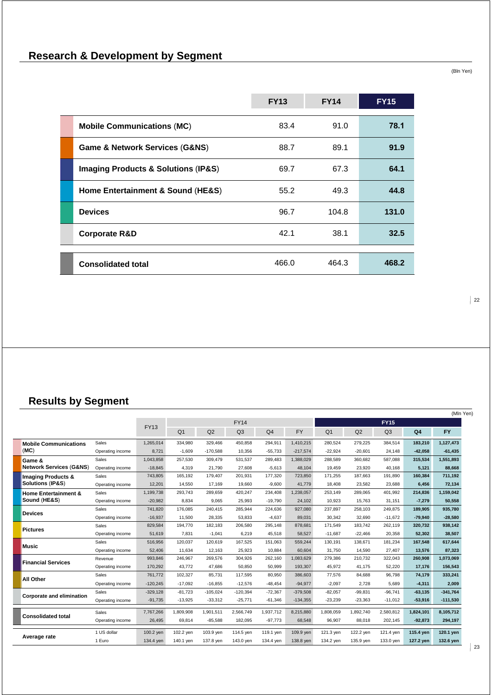|                                                    | <b>FY13</b> | <b>FY14</b> | <b>FY15</b> |
|----------------------------------------------------|-------------|-------------|-------------|
| <b>Mobile Communications (MC)</b>                  | 83.4        | 91.0        | 78.1        |
| Game & Network Services (G&NS)                     | 88.7        | 89.1        | 91.9        |
| <b>Imaging Products &amp; Solutions (IP&amp;S)</b> | 69.7        | 67.3        | 64.1        |
| Home Entertainment & Sound (HE&S)                  | 55.2        | 49.3        | 44.8        |
| <b>Devices</b>                                     | 96.7        | 104.8       | 131.0       |
| <b>Corporate R&amp;D</b>                           | 42.1        | 38.1        | 32.5        |
| <b>Consolidated total</b>                          | 466.0       | 464.3       | 468.2       |

# **Results by Segment**

|                                    |                  |             |                |            |                |                |            |                |           |                |                | (Mln Yen)  |
|------------------------------------|------------------|-------------|----------------|------------|----------------|----------------|------------|----------------|-----------|----------------|----------------|------------|
|                                    |                  |             |                |            | <b>FY14</b>    |                |            |                |           | <b>FY15</b>    |                |            |
|                                    |                  | <b>FY13</b> | Q <sub>1</sub> | Q2         | Q <sub>3</sub> | Q <sub>4</sub> | <b>FY</b>  | Q <sub>1</sub> | Q2        | Q <sub>3</sub> | Q <sub>4</sub> | <b>FY</b>  |
| <b>Mobile Communications</b>       | Sales            | 1,265,014   | 334.980        | 329.466    | 450,858        | 294,911        | 1,410,215  | 280.524        | 279,225   | 384,514        | 183.210        | 1,127,473  |
| (MC)                               | Operating income | 8.721       | $-1.609$       | $-170,588$ | 10,356         | $-55,733$      | $-217.574$ | $-22.924$      | $-20.601$ | 24,148         | $-42.058$      | $-61,435$  |
| Game &                             | Sales            | 1,043,858   | 257.530        | 309.479    | 531,537        | 289.483        | 1,388,029  | 288.589        | 360.682   | 587.088        | 315,534        | 1,551,893  |
| <b>Network Services (G&amp;NS)</b> | Operating income | $-18,845$   | 4,319          | 21,790     | 27,608         | $-5,613$       | 48,104     | 19.459         | 23,920    | 40,168         | 5,121          | 88,668     |
| <b>Imaging Products &amp;</b>      | Sales            | 743,805     | 165.192        | 179,407    | 201,931        | 177,320        | 723,850    | 171.255        | 187,663   | 191,890        | 160,384        | 711,192    |
| Solutions (IP&S)                   | Operating income | 12,201      | 14,550         | 17.169     | 19,660         | $-9,600$       | 41,779     | 18,408         | 23,582    | 23,688         | 6,456          | 72,134     |
| <b>Home Entertainment &amp;</b>    | Sales            | 1,199,738   | 293.743        | 289,659    | 420,247        | 234,408        | 1,238,057  | 253.149        | 289,065   | 401,992        | 214,836        | 1,159,042  |
| Sound (HE&S)                       | Operating income | $-20,982$   | 8.834          | 9.065      | 25,993         | $-19.790$      | 24.102     | 10.923         | 15.763    | 31,151         | $-7,279$       | 50,558     |
| <b>Devices</b>                     | Sales            | 741,820     | 176.085        | 240,415    | 285,944        | 224,636        | 927,080    | 237,897        | 258,103   | 249,875        | 189,905        | 935,780    |
|                                    | Operating income | $-16,937$   | 11,500         | 28,335     | 53,833         | $-4,637$       | 89,031     | 30,342         | 32,690    | $-11,672$      | $-79,940$      | $-28,580$  |
| <b>Pictures</b>                    | Sales            | 829.584     | 194.770        | 182,183    | 206,580        | 295,148        | 878.681    | 171.549        | 183.742   | 262,119        | 320,732        | 938,142    |
|                                    | Operating income | 51,619      | 7,831          | $-1,041$   | 6,219          | 45,518         | 58,527     | $-11,687$      | $-22,466$ | 20,358         | 52,302         | 38,507     |
| <b>Music</b>                       | Sales            | 516,956     | 120.037        | 120,619    | 167,525        | 151,063        | 559,244    | 130.191        | 138,671   | 181,234        | 167,548        | 617,644    |
|                                    | Operating income | 52,406      | 11.634         | 12,163     | 25,923         | 10,884         | 60,604     | 31,750         | 14,590    | 27,407         | 13,576         | 87,323     |
| <b>Financial Services</b>          | Revenue          | 993,846     | 246,967        | 269,576    | 304,926        | 262,160        | 1,083,629  | 279,386        | 210,732   | 322,043        | 260,908        | 1,073,069  |
|                                    | Operating income | 170,292     | 43.772         | 47.686     | 50,850         | 50,999         | 193,307    | 45.972         | 41.175    | 52,220         | 17.176         | 156,543    |
| <b>All Other</b>                   | Sales            | 761,772     | 102,327        | 85,731     | 117,595        | 80,950         | 386,603    | 77,576         | 84,688    | 96,798         | 74,179         | 333,241    |
|                                    | Operating income | $-120,245$  | $-17,092$      | $-16,855$  | $-12,576$      | $-48,454$      | $-94,977$  | $-2,097$       | 2.728     | 5,689          | $-4,311$       | 2,009      |
| <b>Corporate and elimination</b>   | Sales            | $-329.128$  | $-81.723$      | $-105.024$ | $-120.394$     | $-72.367$      | $-379.508$ | $-82.057$      | $-99.831$ | $-96.741$      | $-63.135$      | $-341.764$ |
|                                    | Operating income | $-91,735$   | $-13,925$      | $-33,312$  | $-25,771$      | $-61,346$      | $-134,355$ | $-23,239$      | $-23,363$ | $-11,012$      | $-53,916$      | $-111,530$ |
|                                    | Sales            | 7,767,266   | 1,809,908      | 1,901,511  | 2,566,749      | 1,937,712      | 8,215,880  | 1,808,059      | 1,892,740 | 2,580,812      | 1,824,101      | 8,105,712  |
| <b>Consolidated total</b>          | Operating income | 26,495      | 69,814         | $-85,588$  | 182,095        | $-97,773$      | 68,548     | 96,907         | 88,018    | 202,145        | $-92,873$      | 294,197    |
|                                    | 1 US dollar      | 100.2 yen   | 102.2 yen      | 103.9 yen  | 114.5 yen      | 119.1 yen      | 109.9 yen  | 121.3 yen      | 122.2 yen | 121.4 yen      | 115.4 yen      | 120.1 yen  |
| Average rate                       | 1 Euro           | 134.4 yen   | 140.1 yen      | 137.8 yen  | 143.0 yen      | 134.4 yen      | 138.8 yen  | 134.2 yen      | 135.9 yen | 133.0 yen      | 127.2 yen      | 132.6 yen  |

(Bln Yen)

 $\vert$  22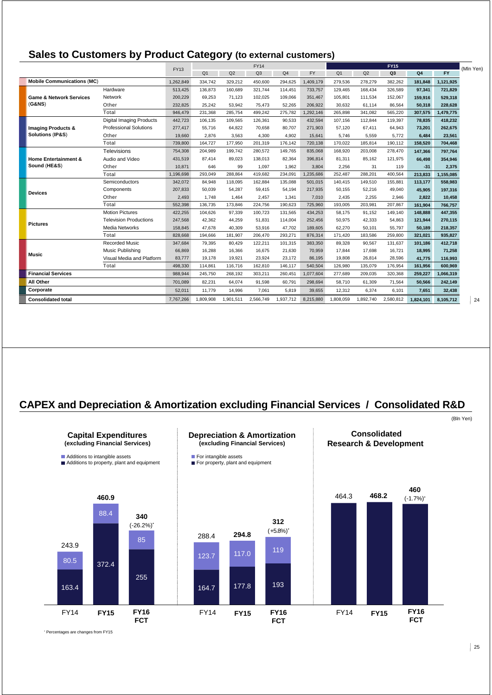### **Sales to Customers by Product Category (to external customers)**

|                                    |                                 | <b>FY13</b> | <b>FY14</b>    |           |           |                |           | <b>FY15</b>    |           |                |                | (Mln Yen) |    |
|------------------------------------|---------------------------------|-------------|----------------|-----------|-----------|----------------|-----------|----------------|-----------|----------------|----------------|-----------|----|
|                                    |                                 |             | Q <sub>1</sub> | Q2        | Q3        | Q <sub>4</sub> | <b>FY</b> | Q <sub>1</sub> | Q2        | Q <sub>3</sub> | Q <sub>4</sub> | <b>FY</b> |    |
| <b>Mobile Communications (MC)</b>  |                                 | 1.262.849   | 334,742        | 329,212   | 450.600   | 294,625        | 1,409,179 | 279,536        | 278,279   | 382.262        | 181,848        | 1,121,925 |    |
|                                    | Hardware                        | 513.425     | 136,873        | 160.689   | 321.744   | 114.451        | 733.757   | 129.465        | 168.434   | 326.589        | 97,341         | 721,829   |    |
| <b>Game &amp; Network Services</b> | Network                         | 200.229     | 69,253         | 71.123    | 102,025   | 109,066        | 351.467   | 105,801        | 111,534   | 152,067        | 159,916        | 529,318   |    |
| (G&NS)                             | Other                           | 232.825     | 25,242         | 53,942    | 75.473    | 52,265         | 206.922   | 30.632         | 61.114    | 86.564         | 50.318         | 228.628   |    |
|                                    | Total                           | 946.479     | 231.368        | 285,754   | 499.242   | 275,782        | 1,292,146 | 265.898        | 341,082   | 565.220        | 307,575        | 1,479,775 |    |
|                                    | <b>Digital Imaging Products</b> | 442,723     | 106,135        | 109,565   | 126,361   | 90,533         | 432,594   | 107,156        | 112,844   | 119,397        | 78,835         | 418,232   |    |
| <b>Imaging Products &amp;</b>      | <b>Professional Solutions</b>   | 277.417     | 55,716         | 64,822    | 70.658    | 80,707         | 271.903   | 57,120         | 67,411    | 64,943         | 73,201         | 262,675   |    |
| Solutions (IP&S)                   | Other                           | 19,660      | 2,876          | 3,563     | 4.300     | 4,902          | 15.641    | 5.746          | 5,559     | 5,772          | 6.484          | 23,561    |    |
|                                    | Total                           | 739,800     | 164,727        | 177,950   | 201,319   | 176,142        | 720,138   | 170,022        | 185,814   | 190,112        | 158.520        | 704,468   |    |
|                                    | <b>Televisions</b>              | 754,308     | 204,989        | 199,742   | 280,572   | 149,765        | 835.068   | 168,920        | 203,008   | 278,470        | 147,366        | 797,764   |    |
| <b>Home Entertainment &amp;</b>    | Audio and Video                 | 431,519     | 87,414         | 89,023    | 138,013   | 82,364         | 396,814   | 81,311         | 85,162    | 121,975        | 66,498         | 354,946   |    |
| Sound (HE&S)                       | Other                           | 10,871      | 646            | 99        | 1,097     | 1,962          | 3,804     | 2,256          | 31        | 119            | $-31$          | 2,375     |    |
|                                    | Total                           | 1,196,698   | 293,049        | 288,864   | 419.682   | 234,091        | 1,235,686 | 252,487        | 288,201   | 400,564        | 213,833        | 1,155,085 |    |
|                                    | Semiconductors                  | 342.072     | 84,948         | 118.095   | 162,884   | 135,088        | 501.015   | 140.415        | 149,510   | 155,881        | 113,177        | 558,983   |    |
| <b>Devices</b>                     | Components                      | 207,833     | 50,039         | 54,287    | 59,415    | 54,194         | 217,935   | 50,155         | 52,216    | 49.040         | 45,905         | 197,316   |    |
|                                    | Other                           | 2.493       | 1.748          | 1.464     | 2.457     | 1,341          | 7.010     | 2.435          | 2.255     | 2.946          | 2,822          | 10,458    |    |
|                                    | Total                           | 552,398     | 136,735        | 173,846   | 224,756   | 190.623        | 725.960   | 193,005        | 203,981   | 207.867        | 161.904        | 766,757   |    |
|                                    | <b>Motion Pictures</b>          | 422,255     | 104,626        | 97,339    | 100,723   | 131,565        | 434,253   | 58,175         | 91,152    | 149,140        | 148,888        | 447,355   |    |
| <b>Pictures</b>                    | <b>Television Productions</b>   | 247.568     | 42,362         | 44,259    | 51.831    | 114,004        | 252.456   | 50.975         | 42,333    | 54,863         | 121,944        | 270,115   |    |
|                                    | <b>Media Networks</b>           | 158.845     | 47,678         | 40,309    | 53,916    | 47,702         | 189,605   | 62.270         | 50,101    | 55,797         | 50.189         | 218,357   |    |
|                                    | Total                           | 828,668     | 194,666        | 181,907   | 206,470   | 293,271        | 876,314   | 171,420        | 183,586   | 259,800        | 321.021        | 935,827   |    |
|                                    | <b>Recorded Music</b>           | 347,684     | 79,395         | 80,429    | 122,211   | 101,315        | 383,350   | 89,328         | 90,567    | 131,637        | 101,186        | 412,718   |    |
| Music                              | Music Publishing                | 66,869      | 16,288         | 16,366    | 16.675    | 21,630         | 70.959    | 17.844         | 17,698    | 16,721         | 18,995         | 71,258    |    |
|                                    | Visual Media and Platform       | 83,777      | 19,178         | 19,921    | 23,924    | 23,172         | 86,195    | 19,808         | 26,814    | 28,596         | 41,775         | 116,993   |    |
|                                    | Total                           | 498,330     | 114,861        | 116,716   | 162,810   | 146,117        | 540,504   | 126,980        | 135,079   | 176,954        | 161,956        | 600,969   |    |
| <b>Financial Services</b>          |                                 | 988,944     | 245,750        | 268,192   | 303,211   | 260,451        | 1,077,604 | 277,689        | 209,035   | 320,368        | 259.227        | 1,066,319 |    |
| All Other                          |                                 | 701,089     | 82,231         | 64,074    | 91,598    | 60,791         | 298.694   | 58,710         | 61,309    | 71,564         | 50,566         | 242,149   |    |
| Corporate                          |                                 | 52,011      | 11,779         | 14,996    | 7,061     | 5.819          | 39.655    | 12,312         | 6,374     | 6,101          | 7,651          | 32,438    |    |
| <b>Consolidated total</b>          |                                 | 7.767.266   | 1,809,908      | 1.901.511 | 2,566,749 | 1,937,712      | 8,215,880 | 1,808,059      | 1,892,740 | 2,580,812      | 1.824.101      | 8,105,712 | 24 |

### **CAPEX and Depreciation & Amortization excluding Financial Services / Consolidated R&D**



\* Percentages are changes from FY15

(Bln Yen)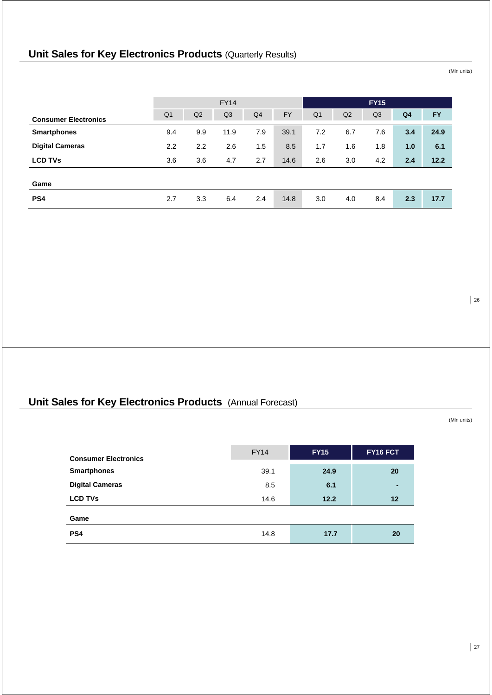# **Unit Sales for Key Electronics Products (Quarterly Results)**

(Mln units)

|                             |                |     | <b>FY14</b>    |                |           | <b>FY15</b>    |     |     |                |           |
|-----------------------------|----------------|-----|----------------|----------------|-----------|----------------|-----|-----|----------------|-----------|
| <b>Consumer Electronics</b> | Q <sub>1</sub> | Q2  | Q <sub>3</sub> | Q <sub>4</sub> | <b>FY</b> | Q <sub>1</sub> | Q2  | Q3  | Q <sub>4</sub> | <b>FY</b> |
| <b>Smartphones</b>          | 9.4            | 9.9 | 11.9           | 7.9            | 39.1      | 7.2            | 6.7 | 7.6 | 3.4            | 24.9      |
| <b>Digital Cameras</b>      | 2.2            | 2.2 | 2.6            | 1.5            | 8.5       | 1.7            | 1.6 | 1.8 | 1.0            | 6.1       |
| <b>LCD TVs</b>              | 3.6            | 3.6 | 4.7            | 2.7            | 14.6      | 2.6            | 3.0 | 4.2 | 2.4            | 12.2      |
| Game                        |                |     |                |                |           |                |     |     |                |           |
| PS4                         | 2.7            | 3.3 | 6.4            | 2.4            | 14.8      | 3.0            | 4.0 | 8.4 | 2.3            | 17.7      |

 $\vert$  26

# **Unit Sales for Key Electronics Products** (Annual Forecast)

(Mln units)

| <b>Consumer Electronics</b> | <b>FY14</b> | <b>FY15</b> | FY16 FCT  |
|-----------------------------|-------------|-------------|-----------|
| <b>Smartphones</b>          | 39.1        | 24.9        | 20        |
| <b>Digital Cameras</b>      | 8.5         | 6.1         | ٠         |
| <b>LCD TVs</b>              | 14.6        | 12.2        | $12 \,$   |
| Game                        |             |             |           |
| PS <sub>4</sub>             | 14.8        | 17.7        | <b>20</b> |